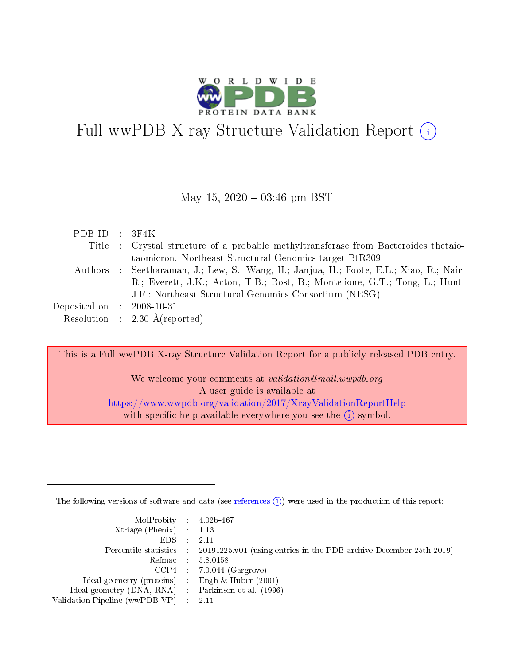

# Full wwPDB X-ray Structure Validation Report (i)

#### May 15,  $2020 - 03:46$  pm BST

| PDBID : 3F4K                |                                                                                        |
|-----------------------------|----------------------------------------------------------------------------------------|
|                             | Title : Crystal structure of a probable methyltransferase from Bacteroides thetaio-    |
|                             | taomicron. Northeast Structural Genomics target BtR309.                                |
|                             | Authors : Seetharaman, J.; Lew, S.; Wang, H.; Janjua, H.; Foote, E.L.; Xiao, R.; Nair, |
|                             | R.; Everett, J.K.; Acton, T.B.; Rost, B.; Montelione, G.T.; Tong, L.; Hunt,            |
|                             | J.F.; Northeast Structural Genomics Consortium (NESG)                                  |
| Deposited on : $2008-10-31$ |                                                                                        |
|                             | Resolution : $2.30 \text{ Å}$ (reported)                                               |

This is a Full wwPDB X-ray Structure Validation Report for a publicly released PDB entry.

We welcome your comments at validation@mail.wwpdb.org A user guide is available at <https://www.wwpdb.org/validation/2017/XrayValidationReportHelp> with specific help available everywhere you see the  $(i)$  symbol.

The following versions of software and data (see [references](https://www.wwpdb.org/validation/2017/XrayValidationReportHelp#references)  $(i)$ ) were used in the production of this report:

| $MolProbability$ 4.02b-467<br>Xtriage (Phenix) $: 1.13$<br>$EDS$ : | -2.11                                                                                      |
|--------------------------------------------------------------------|--------------------------------------------------------------------------------------------|
|                                                                    | Percentile statistics : 20191225.v01 (using entries in the PDB archive December 25th 2019) |
|                                                                    | Refmac 58.0158                                                                             |
|                                                                    | $CCP4$ : 7.0.044 (Gargrove)                                                                |
| Ideal geometry (proteins) : Engh $\&$ Huber (2001)                 |                                                                                            |
| Ideal geometry (DNA, RNA) Parkinson et al. (1996)                  |                                                                                            |
| Validation Pipeline (wwPDB-VP) :                                   | -2.11                                                                                      |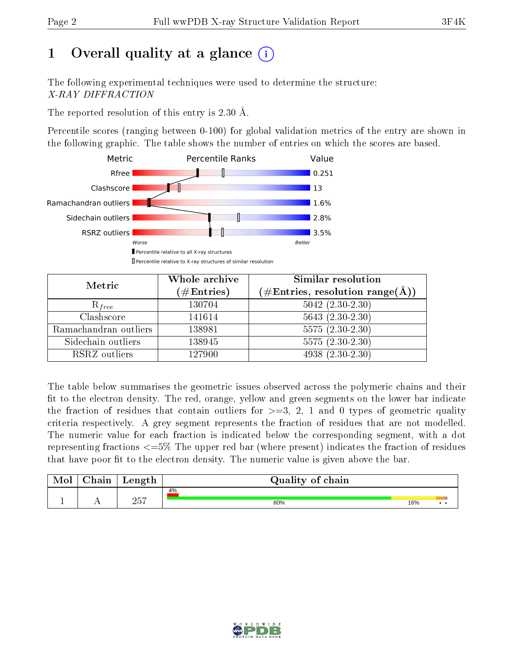# 1 [O](https://www.wwpdb.org/validation/2017/XrayValidationReportHelp#overall_quality)verall quality at a glance  $(i)$

The following experimental techniques were used to determine the structure: X-RAY DIFFRACTION

The reported resolution of this entry is 2.30 Å.

Percentile scores (ranging between 0-100) for global validation metrics of the entry are shown in the following graphic. The table shows the number of entries on which the scores are based.



| Metric                | Whole archive<br>$(\#\text{Entries})$ | Similar resolution<br>$(\#\text{Entries},\,\text{resolution}\,\,\text{range}(\textup{\AA}))$ |
|-----------------------|---------------------------------------|----------------------------------------------------------------------------------------------|
| $R_{free}$            | 130704                                | $5042$ $(2.30-2.30)$                                                                         |
| Clashscore            | 141614                                | $5643(2.30-2.30)$                                                                            |
| Ramachandran outliers | 138981                                | $5575(2.30-2.30)$                                                                            |
| Sidechain outliers    | 138945                                | $5575(2.30-2.30)$                                                                            |
| RSRZ outliers         | 127900                                | $4938(2.30-2.30)$                                                                            |

The table below summarises the geometric issues observed across the polymeric chains and their fit to the electron density. The red, orange, yellow and green segments on the lower bar indicate the fraction of residues that contain outliers for  $>=3, 2, 1$  and 0 types of geometric quality criteria respectively. A grey segment represents the fraction of residues that are not modelled. The numeric value for each fraction is indicated below the corresponding segment, with a dot representing fractions  $\epsilon=5\%$  The upper red bar (where present) indicates the fraction of residues that have poor fit to the electron density. The numeric value is given above the bar.

| Mol | $\cap$ hain | Length      | Quality of chain |     |              |
|-----|-------------|-------------|------------------|-----|--------------|
|     |             |             | 4%               |     |              |
|     |             | つにワ<br>∠∪ । | 80%              | 16% | $\cdot\cdot$ |

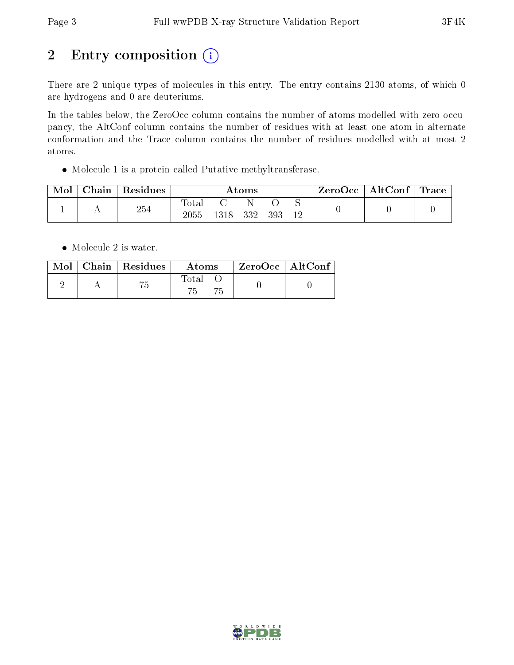# 2 Entry composition (i)

There are 2 unique types of molecules in this entry. The entry contains 2130 atoms, of which 0 are hydrogens and 0 are deuteriums.

In the tables below, the ZeroOcc column contains the number of atoms modelled with zero occupancy, the AltConf column contains the number of residues with at least one atom in alternate conformation and the Trace column contains the number of residues modelled with at most 2 atoms.

Molecule 1 is a protein called Putative methyltransferase.

| Mol | Chain | Residues | Atoms               |       |     |     | ZeroOcc | $\mid$ AltConf $\mid$ Trace |  |  |
|-----|-------|----------|---------------------|-------|-----|-----|---------|-----------------------------|--|--|
|     |       | 254      | $\rm Total$<br>2055 | 1318- | 332 | 393 | 12      |                             |  |  |

• Molecule 2 is water.

|  | $\text{Mol}$   Chain   Residues | Atoms | └ ZeroOcc   AltConf |  |
|--|---------------------------------|-------|---------------------|--|
|  |                                 | Total |                     |  |

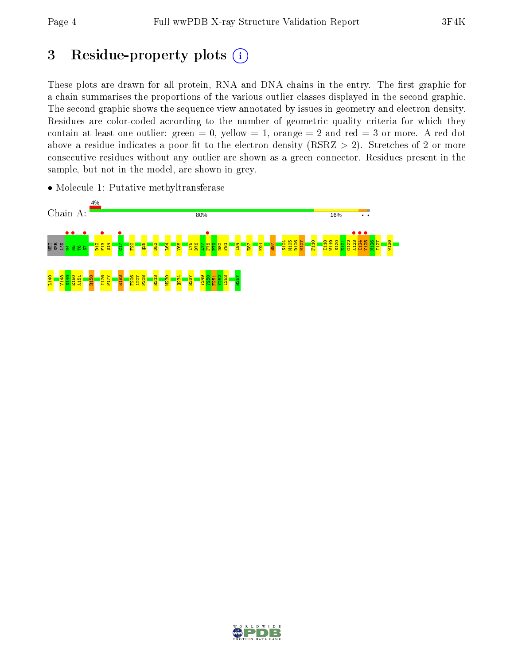## 3 Residue-property plots  $(i)$

These plots are drawn for all protein, RNA and DNA chains in the entry. The first graphic for a chain summarises the proportions of the various outlier classes displayed in the second graphic. The second graphic shows the sequence view annotated by issues in geometry and electron density. Residues are color-coded according to the number of geometric quality criteria for which they contain at least one outlier: green  $= 0$ , yellow  $= 1$ , orange  $= 2$  and red  $= 3$  or more. A red dot above a residue indicates a poor fit to the electron density (RSRZ  $> 2$ ). Stretches of 2 or more consecutive residues without any outlier are shown as a green connector. Residues present in the sample, but not in the model, are shown in grey.



• Molecule 1: Putative methyltransferase

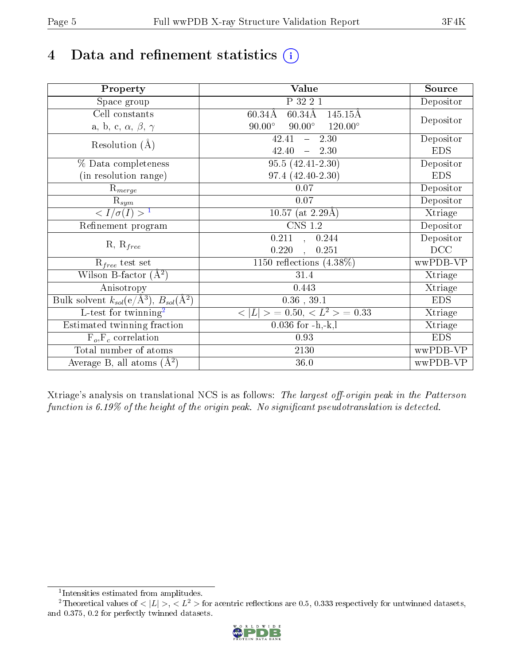# 4 Data and refinement statistics  $(i)$

| Property                                                             | Value                                                        | Source     |
|----------------------------------------------------------------------|--------------------------------------------------------------|------------|
| Space group                                                          | P 32 2 1                                                     | Depositor  |
| Cell constants                                                       | $60.34\text{\AA}$<br>$145.15\text{\AA}$<br>$60.34\text{\AA}$ |            |
| a, b, c, $\alpha$ , $\beta$ , $\gamma$                               | $90.00^\circ$<br>$90.00^\circ$<br>$120.00^{\circ}$           | Depositor  |
| Resolution $(A)$                                                     | 2.30<br>42.41<br>$\frac{1}{2}$ and $\frac{1}{2}$             | Depositor  |
|                                                                      | 42.40<br>$-2.30$                                             | <b>EDS</b> |
| % Data completeness                                                  | $95.5(42.41-2.30)$                                           | Depositor  |
| (in resolution range)                                                | 97.4 (42.40-2.30)                                            | <b>EDS</b> |
| $R_{merge}$                                                          | 0.07                                                         | Depositor  |
| $\mathrm{R}_{sym}$                                                   | $0.07\,$                                                     | Depositor  |
| $\sqrt{I/\sigma}(I) > 1$                                             | $\overline{10.57}$ (at 2.29Å)                                | Xtriage    |
| Refinement program                                                   | $\overline{\text{CNS} 1.2}$                                  | Depositor  |
|                                                                      | 0.211, 0.244                                                 | Depositor  |
| $R, R_{free}$                                                        | 0.220<br>0.251                                               | DCC        |
| $R_{free}$ test set                                                  | 1150 reflections $(4.38\%)$                                  | wwPDB-VP   |
| Wilson B-factor $(A^2)$                                              | 31.4                                                         | Xtriage    |
| Anisotropy                                                           | 0.443                                                        | Xtriage    |
| Bulk solvent $k_{sol}(e/\mathring{A}^3)$ , $B_{sol}(\mathring{A}^2)$ | $0.36\,$ , $39.1\,$                                          | <b>EDS</b> |
| L-test for twinning <sup>2</sup>                                     | $< L >$ = 0.50, $< L2$ > = 0.33                              | Xtriage    |
| Estimated twinning fraction                                          | $0.036$ for $-h,-k,l$                                        | Xtriage    |
| $F_o, F_c$ correlation                                               | 0.93                                                         | <b>EDS</b> |
| Total number of atoms                                                | 2130                                                         | wwPDB-VP   |
| Average B, all atoms $(A^2)$                                         | 36.0                                                         | wwPDB-VP   |

Xtriage's analysis on translational NCS is as follows: The largest off-origin peak in the Patterson function is  $6.19\%$  of the height of the origin peak. No significant pseudotranslation is detected.

<sup>&</sup>lt;sup>2</sup>Theoretical values of  $\langle |L| \rangle$ ,  $\langle L^2 \rangle$  for acentric reflections are 0.5, 0.333 respectively for untwinned datasets, and 0.375, 0.2 for perfectly twinned datasets.



<span id="page-4-1"></span><span id="page-4-0"></span><sup>1</sup> Intensities estimated from amplitudes.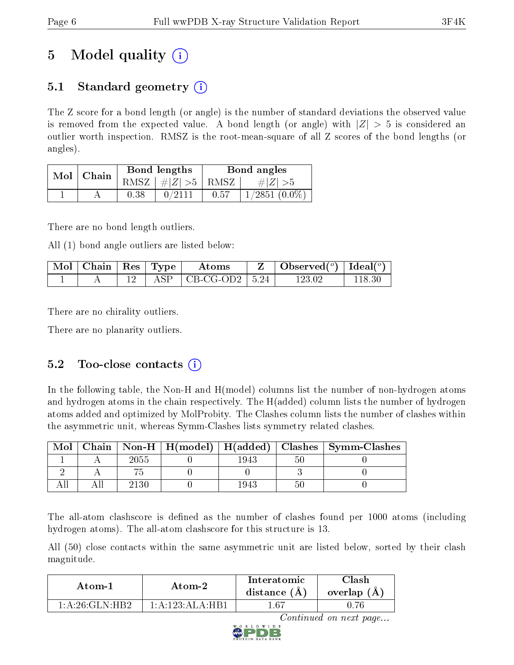# 5 Model quality  $(i)$

### 5.1 Standard geometry  $\overline{()}$

The Z score for a bond length (or angle) is the number of standard deviations the observed value is removed from the expected value. A bond length (or angle) with  $|Z| > 5$  is considered an outlier worth inspection. RMSZ is the root-mean-square of all Z scores of the bond lengths (or angles).

| Mol | Chain |      | Bond lengths                     | Bond angles |                  |  |
|-----|-------|------|----------------------------------|-------------|------------------|--|
|     |       |      | RMSZ $\mid \#  Z  > 5 \mid$ RMSZ |             | $\# Z  > 5$      |  |
|     |       | 0.38 | 0/2111                           | 0.57        | $1/2851~(0.0\%)$ |  |

There are no bond length outliers.

All (1) bond angle outliers are listed below:

| $\mid$ Mol $\mid$ Chain $\mid$ Res $\mid$ Type |  | A toms                          | Observed( $^{\circ}$ )   Ideal( $^{\circ}$ ) |  |
|------------------------------------------------|--|---------------------------------|----------------------------------------------|--|
|                                                |  | $\text{ASP}$   CB-CG-OD2   5.24 | 123 02                                       |  |

There are no chirality outliers.

There are no planarity outliers.

### 5.2 Too-close contacts  $(i)$

In the following table, the Non-H and H(model) columns list the number of non-hydrogen atoms and hydrogen atoms in the chain respectively. The H(added) column lists the number of hydrogen atoms added and optimized by MolProbity. The Clashes column lists the number of clashes within the asymmetric unit, whereas Symm-Clashes lists symmetry related clashes.

| Mol |      |      |     | Chain   Non-H   H(model)   H(added)   Clashes   Symm-Clashes |
|-----|------|------|-----|--------------------------------------------------------------|
|     | 2055 | 1943 | Эl  |                                                              |
|     |      |      |     |                                                              |
|     | 2130 | 1943 | .5l |                                                              |

The all-atom clashscore is defined as the number of clashes found per 1000 atoms (including hydrogen atoms). The all-atom clashscore for this structure is 13.

All (50) close contacts within the same asymmetric unit are listed below, sorted by their clash magnitude.

| Atom-1                                         | Atom-2                           | Interatomic<br>distance $(A)$ | 7lash<br>overlap $(A)$ |  |
|------------------------------------------------|----------------------------------|-------------------------------|------------------------|--|
| $1 \cdot A \cdot 26 \cdot G$ LN $\cdot$ HR $2$ | 1: A: 123: A <sub>L</sub> A: HR1 | 167                           |                        |  |

Continued on next page...

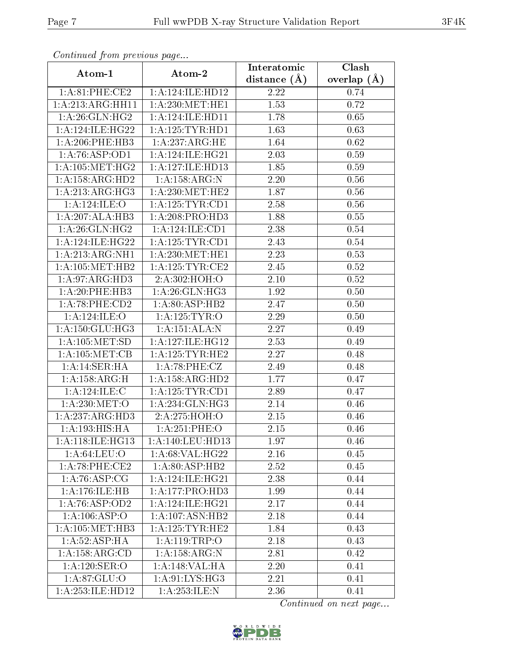| Commuca from previous page      |                      | Interatomic      | Clash         |
|---------------------------------|----------------------|------------------|---------------|
| Atom-1                          | Atom-2               | distance $(\AA)$ | overlap $(A)$ |
| 1:A:81:PHE:CE2                  | 1: A: 124: ILE: HD12 | 2.22             | 0.74          |
| 1:A:213:ARG:HH11                | 1: A:230:MET:HE1     | 1.53             | 0.72          |
| 1: A:26: GLN: HG2               | 1: A:124: ILE: HDI1  | 1.78             | 0.65          |
| 1: A:124: ILE: HG22             | 1: A: 125: TYR: HD1  | 1.63             | 0.63          |
| $1: A:206:$ PHE:HB3             | 1: A:237: ARG: HE    | 1.64             | 0.62          |
| 1:A:76:ASP:OD1                  | 1: A:124: ILE: HG21  | 2.03             | 0.59          |
| 1: A: 105: MET:HG2              | 1: A: 127: ILE: HD13 | 1.85             | 0.59          |
| 1: A: 158: ARG: HD2             | 1:A:158:ARG:N        | 2.20             | 0.56          |
| 1:A:213:ARG:HG3                 | 1: A:230:MET:HE2     | 1.87             | 0.56          |
| 1:A:124:ILE:O                   | 1: A: 125: TYR: CD1  | 2.58             | 0.56          |
| 1:A:207:ALA:HB3                 | 1:A:208:PRO:HD3      | 1.88             | 0.55          |
| 1: A:26: GLN: HG2               | 1:A:124:ILE:CD1      | 2.38             | 0.54          |
| 1: A:124: ILE: HG22             | 1: A: 125: TYR: CD1  | 2.43             | 0.54          |
| 1:A:213:ARG:NH1                 | 1: A:230:MET:HE1     | 2.23             | 0.53          |
| 1: A: 105: MET: HB2             | 1: A: 125: TYR: CE2  | 2.45             | 0.52          |
| 1: A:97: ARG:HD3                | 2:A:302:HOH:O        | 2.10             | 0.52          |
| 1:A:20:PHE:HB3                  | 1:A:26:GLN:HG3       | 1.92             | 0.50          |
| 1:A:78:PHE:CD2                  | 1:A:80:ASP:HB2       | 2.47             | 0.50          |
| 1:A:124:ILE:O                   | 1: A: 125: TYR: O    | 2.29             | 0.50          |
| 1: A:150: GLU:HG3               | 1:A:151:ALA:N        | 2.27             | 0.49          |
| 1: A: 105: MET: SD              | 1: A:127: ILE: HG12  | 2.53             | 0.49          |
| 1: A: 105: MET: CB              | 1: A: 125: TYR: HE2  | 2.27             | 0.48          |
| 1:A:14:SER:HA                   | 1:A:78:PHE:CZ        | 2.49             | 0.48          |
| 1:A:158:ARG:H                   | 1: A: 158: ARG: HD2  | 1.77             | 0.47          |
| 1: A:124: ILE:C                 | 1: A: 125: TYR: CD1  | 2.89             | 0.47          |
| 1: A:230:MET:O                  | 1: A:234: GLN: HG3   | 2.14             | 0.46          |
| 1:A:237:ARG:HD3                 | 2:A:275:HOH:O        | 2.15             | 0.46          |
| 1: A: 193: HIS: HA              | $1: A:251:$ PHE: $O$ | 2.15             | 0.46          |
| 1:A:118:ILE:HG13                | 1: A:140: LEU: HD13  | 1.97             | 0.46          |
| 1: A:64:LEU:O                   | 1:A:68:VAL:HG22      | 2.16             | 0.45          |
| 1:A:78:PHE:CE2                  | 1: A:80: ASP:HB2     | 2.52             | 0.45          |
| $1:A:76:\overline{\rm{ASP:CG}}$ | 1:A:124:ILE:HG21     | 2.38             | 0.44          |
| 1:A:176:ILE:HB                  | 1: A:177: PRO:HD3    | 1.99             | 0.44          |
| 1:A:76:ASP:OD2                  | 1: A:124: ILE: HG21  | 2.17             | 0.44          |
| 1:A:106:ASP:O                   | 1:A:107:ASN:HB2      | 2.18             | 0.44          |
| 1: A: 105: MET: HB3             | 1: A: 125: TYR: HE2  | 1.84             | 0.43          |
| 1: A:52: ASP: HA                | 1:A:119:TRP:O        | 2.18             | 0.43          |
| 1:A:158:ARG:CD                  | 1:A:158:ARG:N        | 2.81             | 0.42          |
| 1:A:120:SER:O                   | 1:A:148:VAL:HA       | 2.20             | 0.41          |
| 1:A:87:GLU:O                    | 1:A:91:LYS:HG3       | 2.21             | 0.41          |
| 1:A:253:ILE:HD12                | 1: A: 253: ILE:N     | 2.36             | 0.41          |

Continued from previous page.

Continued on next page...

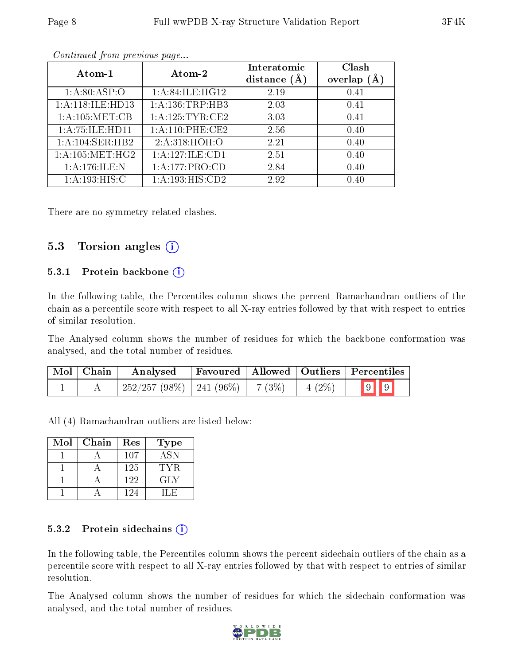| Atom-1              | Atom-2              | Interatomic<br>distance $(A)$ | Clash<br>overlap (Å |
|---------------------|---------------------|-------------------------------|---------------------|
| 1: A:80: ASP:O      | 1:A:84:ILE:HG12     | 2.19                          | 0.41                |
| 1:A:118:ILE:HD13    | 1:A:136:TRP:HB3     | 2.03                          | 0.41                |
| 1: A: 105: MET: CB  | 1: A: 125: TYR: CE2 | 3.03                          | 0.41                |
| 1: A: 75: ILE: HD11 | 1:A:110:PHE:CE2     | 2.56                          | 0.40                |
| 1: A:104: SER: HB2  | 2:A:318:HOH:O       | 2.21                          | 0.40                |
| 1: A: 105: MET: HG2 | 1: A:127: ILE: CD1  | 2.51                          | 0.40                |
| 1:A:176:ILE:N       | 1: A:177: PRO:CD    | 2.84                          | 0.40                |
| 1: A:193:HIS:C      | 1: A:193:HIS:CD2    | 2.92                          | 0.40                |

Continued from previous page...

There are no symmetry-related clashes.

#### 5.3 Torsion angles  $(i)$

#### 5.3.1 Protein backbone (i)

In the following table, the Percentiles column shows the percent Ramachandran outliers of the chain as a percentile score with respect to all X-ray entries followed by that with respect to entries of similar resolution.

The Analysed column shows the number of residues for which the backbone conformation was analysed, and the total number of residues.

| Mol   Chain | Analysed                                |  |          | $\mid$ Favoured $\mid$ Allowed $\mid$ Outliers $\mid$ Percentiles $\mid$ |
|-------------|-----------------------------------------|--|----------|--------------------------------------------------------------------------|
|             | $252/257 (98\%)$   241 (96\%)   7 (3\%) |  | $4(2\%)$ | $9$ 9                                                                    |

All (4) Ramachandran outliers are listed below:

| $\operatorname{Mol}$ | Chain | Res | Type       |
|----------------------|-------|-----|------------|
|                      |       | 107 | <b>ASN</b> |
|                      |       | 125 | TYR.       |
|                      |       | 122 | GLY        |
|                      |       | 124 | 11.H       |

#### 5.3.2 Protein sidechains  $(i)$

In the following table, the Percentiles column shows the percent sidechain outliers of the chain as a percentile score with respect to all X-ray entries followed by that with respect to entries of similar resolution.

The Analysed column shows the number of residues for which the sidechain conformation was analysed, and the total number of residues.

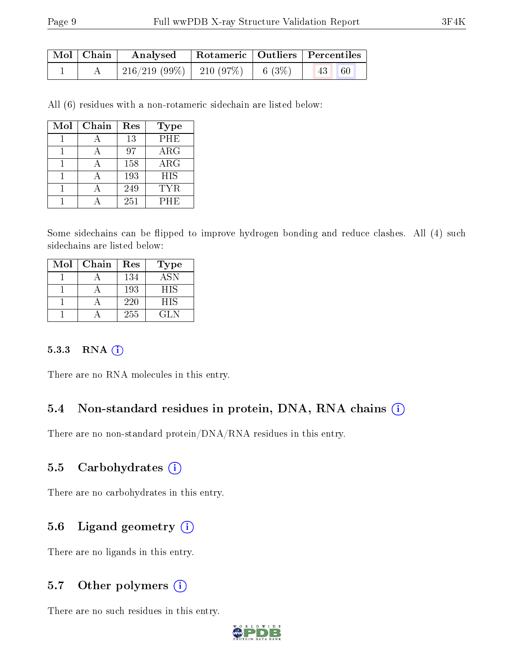| $\mid$ Mol $\mid$ Chain $\mid$ |                                    | Analysed   Rotameric   Outliers   Percentiles |  |           |  |
|--------------------------------|------------------------------------|-----------------------------------------------|--|-----------|--|
|                                | 216/219 (99%)   210 (97%)   6 (3%) |                                               |  | $ 43 $ 60 |  |

All (6) residues with a non-rotameric sidechain are listed below:

| Mol | Chain | Res | Type       |
|-----|-------|-----|------------|
|     |       | 13  | PHE        |
|     |       | 97  | $\rm{ARG}$ |
|     |       | 158 | $\rm{ARG}$ |
|     |       | 193 | <b>HIS</b> |
|     |       | 249 | TYR.       |
|     |       | 251 | PHE        |

Some sidechains can be flipped to improve hydrogen bonding and reduce clashes. All (4) such sidechains are listed below:

| Mol | Chain | Res | <b>Type</b> |
|-----|-------|-----|-------------|
|     |       | 134 | <b>ASN</b>  |
|     |       | 193 | HIS         |
|     |       | 220 | HIS         |
|     |       | 255 | GL N        |

#### 5.3.3 RNA [O](https://www.wwpdb.org/validation/2017/XrayValidationReportHelp#rna)i

There are no RNA molecules in this entry.

#### 5.4 Non-standard residues in protein, DNA, RNA chains (i)

There are no non-standard protein/DNA/RNA residues in this entry.

#### 5.5 Carbohydrates (i)

There are no carbohydrates in this entry.

### 5.6 Ligand geometry  $(i)$

There are no ligands in this entry.

#### 5.7 [O](https://www.wwpdb.org/validation/2017/XrayValidationReportHelp#nonstandard_residues_and_ligands)ther polymers  $(i)$

There are no such residues in this entry.

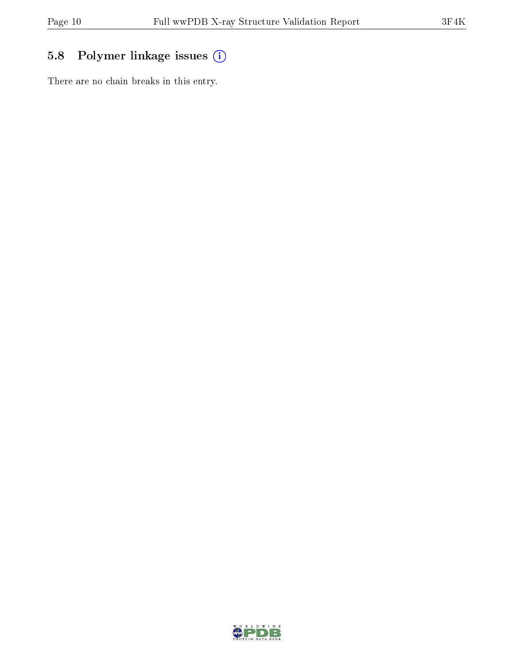### 5.8 Polymer linkage issues (i)

There are no chain breaks in this entry.

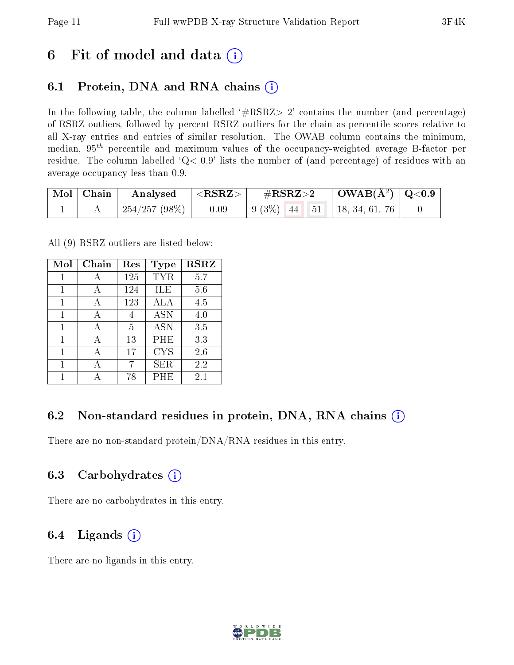## 6 Fit of model and data  $(i)$

### 6.1 Protein, DNA and RNA chains  $(i)$

In the following table, the column labelled  $#RSRZ> 2'$  contains the number (and percentage) of RSRZ outliers, followed by percent RSRZ outliers for the chain as percentile scores relative to all X-ray entries and entries of similar resolution. The OWAB column contains the minimum, median,  $95<sup>th</sup>$  percentile and maximum values of the occupancy-weighted average B-factor per residue. The column labelled ' $Q< 0.9$ ' lists the number of (and percentage) of residues with an average occupancy less than 0.9.

|  | $\mid$ Mol $\mid$ Chain $\mid$ Analysed $\mid$ <rsrz> <math>\mid</math></rsrz> |      |  |  |
|--|--------------------------------------------------------------------------------|------|--|--|
|  | 254/257 (98%)                                                                  | 0.09 |  |  |

All (9) RSRZ outliers are listed below:

| Mol | Chain | Res | <b>Type</b> | <b>RSRZ</b> |
|-----|-------|-----|-------------|-------------|
| 1   | А     | 125 | TYR         | 5.7         |
| 1   | А     | 124 | ILE         | 5.6         |
|     | А     | 123 | ALA         | 4.5         |
| 1   | А     | 4   | <b>ASN</b>  | 4.0         |
| 1   | А     | 5   | <b>ASN</b>  | 3.5         |
| 1   | А     | 13  | PHE         | 3.3         |
| 1   |       | 17  | <b>CYS</b>  | 2.6         |
| 1   | А     | 7   | ${\rm SER}$ | 2.2         |
|     |       | 78  | PHE         | 2.1         |

### 6.2 Non-standard residues in protein, DNA, RNA chains  $(i)$

There are no non-standard protein/DNA/RNA residues in this entry.

### 6.3 Carbohydrates (i)

There are no carbohydrates in this entry.

### 6.4 Ligands  $(i)$

There are no ligands in this entry.